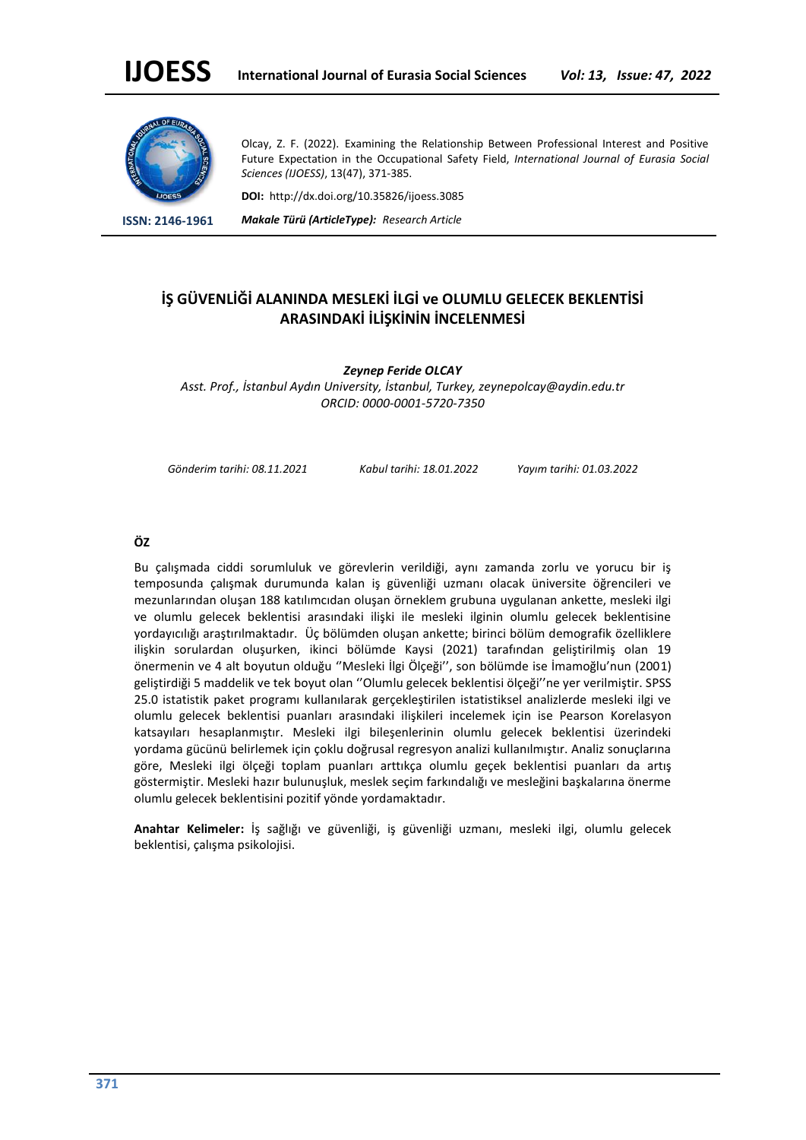

Olcay, Z. F. (2022). Examining the Relationship Between Professional Interest and Positive Future Expectation in the Occupational Safety Field, *International Journal of Eurasia Social Sciences (IJOESS)*, 13(47), 371-385.

**DOI:** http://dx.doi.org/10.35826/ijoess.3085

**ISSN: 2146-1961** *Makale Türü (ArticleType): Research Article*

# **İŞ GÜVENLİĞİ ALANINDA MESLEKİ İLGİ ve OLUMLU GELECEK BEKLENTİSİ ARASINDAKİ İLİŞKİNİN İNCELENMESİ**

*Zeynep Feride OLCAY Asst. Prof., İstanbul Aydın University, İstanbul, Turkey, zeynepolcay@aydin.edu.tr ORCID: 0000-0001-5720-7350*

*Gönderim tarihi: 08.11.2021 Kabul tarihi: 18.01.2022 Yayım tarihi: 01.03.2022*

# **ÖZ**

Bu çalışmada ciddi sorumluluk ve görevlerin verildiği, aynı zamanda zorlu ve yorucu bir iş temposunda çalışmak durumunda kalan iş güvenliği uzmanı olacak üniversite öğrencileri ve mezunlarından oluşan 188 katılımcıdan oluşan örneklem grubuna uygulanan ankette, mesleki ilgi ve olumlu gelecek beklentisi arasındaki ilişki ile mesleki ilginin olumlu gelecek beklentisine yordayıcılığı araştırılmaktadır. Üç bölümden oluşan ankette; birinci bölüm demografik özelliklere ilişkin sorulardan oluşurken, ikinci bölümde Kaysi (2021) tarafından geliştirilmiş olan 19 önermenin ve 4 alt boyutun olduğu ''Mesleki İlgi Ölçeği'', son bölümde ise İmamoğlu'nun (2001) geliştirdiği 5 maddelik ve tek boyut olan ''Olumlu gelecek beklentisi ölçeği''ne yer verilmiştir. SPSS 25.0 istatistik paket programı kullanılarak gerçekleştirilen istatistiksel analizlerde mesleki ilgi ve olumlu gelecek beklentisi puanları arasındaki ilişkileri incelemek için ise Pearson Korelasyon katsayıları hesaplanmıştır. Mesleki ilgi bileşenlerinin olumlu gelecek beklentisi üzerindeki yordama gücünü belirlemek için çoklu doğrusal regresyon analizi kullanılmıştır. Analiz sonuçlarına göre, Mesleki ilgi ölçeği toplam puanları arttıkça olumlu geçek beklentisi puanları da artış göstermiştir. Mesleki hazır bulunuşluk, meslek seçim farkındalığı ve mesleğini başkalarına önerme olumlu gelecek beklentisini pozitif yönde yordamaktadır.

**Anahtar Kelimeler:** İş sağlığı ve güvenliği, iş güvenliği uzmanı, mesleki ilgi, olumlu gelecek beklentisi, çalışma psikolojisi.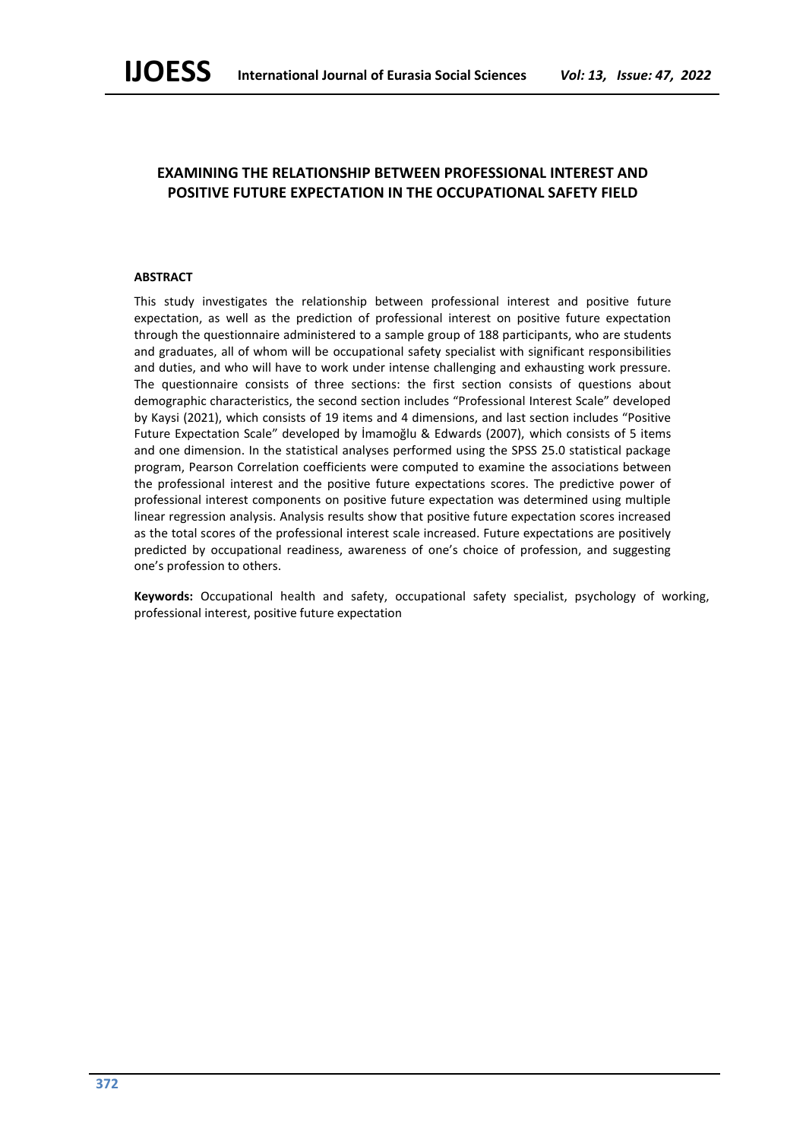# **EXAMINING THE RELATIONSHIP BETWEEN PROFESSIONAL INTEREST AND POSITIVE FUTURE EXPECTATION IN THE OCCUPATIONAL SAFETY FIELD**

# **ABSTRACT**

This study investigates the relationship between professional interest and positive future expectation, as well as the prediction of professional interest on positive future expectation through the questionnaire administered to a sample group of 188 participants, who are students and graduates, all of whom will be occupational safety specialist with significant responsibilities and duties, and who will have to work under intense challenging and exhausting work pressure. The questionnaire consists of three sections: the first section consists of questions about demographic characteristics, the second section includes "Professional Interest Scale" developed by Kaysi (2021), which consists of 19 items and 4 dimensions, and last section includes "Positive Future Expectation Scale" developed by İmamoğlu & Edwards (2007), which consists of 5 items and one dimension. In the statistical analyses performed using the SPSS 25.0 statistical package program, Pearson Correlation coefficients were computed to examine the associations between the professional interest and the positive future expectations scores. The predictive power of professional interest components on positive future expectation was determined using multiple linear regression analysis. Analysis results show that positive future expectation scores increased as the total scores of the professional interest scale increased. Future expectations are positively predicted by occupational readiness, awareness of one's choice of profession, and suggesting one's profession to others.

**Keywords:** Occupational health and safety, occupational safety specialist, psychology of working, professional interest, positive future expectation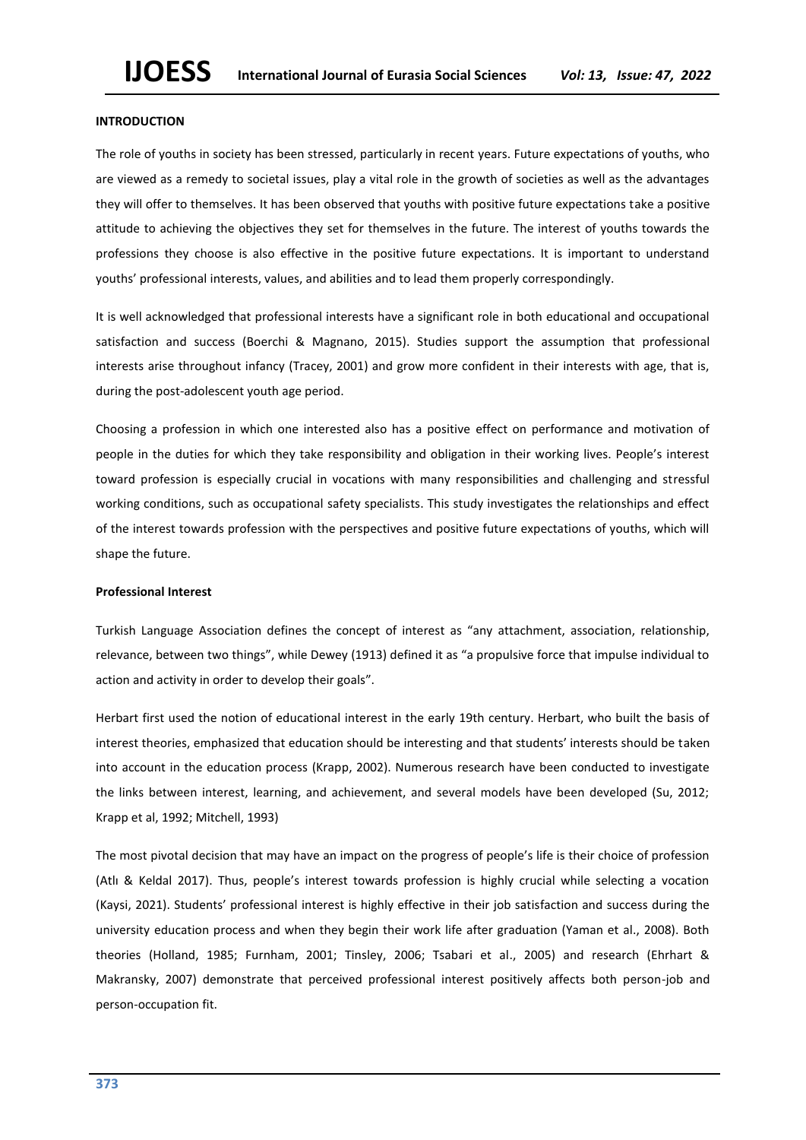## **INTRODUCTION**

The role of youths in society has been stressed, particularly in recent years. Future expectations of youths, who are viewed as a remedy to societal issues, play a vital role in the growth of societies as well as the advantages they will offer to themselves. It has been observed that youths with positive future expectations take a positive attitude to achieving the objectives they set for themselves in the future. The interest of youths towards the professions they choose is also effective in the positive future expectations. It is important to understand youths' professional interests, values, and abilities and to lead them properly correspondingly.

It is well acknowledged that professional interests have a significant role in both educational and occupational satisfaction and success (Boerchi & Magnano, 2015). Studies support the assumption that professional interests arise throughout infancy (Tracey, 2001) and grow more confident in their interests with age, that is, during the post-adolescent youth age period.

Choosing a profession in which one interested also has a positive effect on performance and motivation of people in the duties for which they take responsibility and obligation in their working lives. People's interest toward profession is especially crucial in vocations with many responsibilities and challenging and stressful working conditions, such as occupational safety specialists. This study investigates the relationships and effect of the interest towards profession with the perspectives and positive future expectations of youths, which will shape the future.

#### **Professional Interest**

Turkish Language Association defines the concept of interest as "any attachment, association, relationship, relevance, between two things", while Dewey (1913) defined it as "a propulsive force that impulse individual to action and activity in order to develop their goals".

Herbart first used the notion of educational interest in the early 19th century. Herbart, who built the basis of interest theories, emphasized that education should be interesting and that students' interests should be taken into account in the education process (Krapp, 2002). Numerous research have been conducted to investigate the links between interest, learning, and achievement, and several models have been developed (Su, 2012; Krapp et al, 1992; Mitchell, 1993)

The most pivotal decision that may have an impact on the progress of people's life is their choice of profession (Atlı & Keldal 2017). Thus, people's interest towards profession is highly crucial while selecting a vocation (Kaysi, 2021). Students' professional interest is highly effective in their job satisfaction and success during the university education process and when they begin their work life after graduation (Yaman et al., 2008). Both theories (Holland, 1985; Furnham, 2001; Tinsley, 2006; Tsabari et al., 2005) and research (Ehrhart & Makransky, 2007) demonstrate that perceived professional interest positively affects both person-job and person-occupation fit.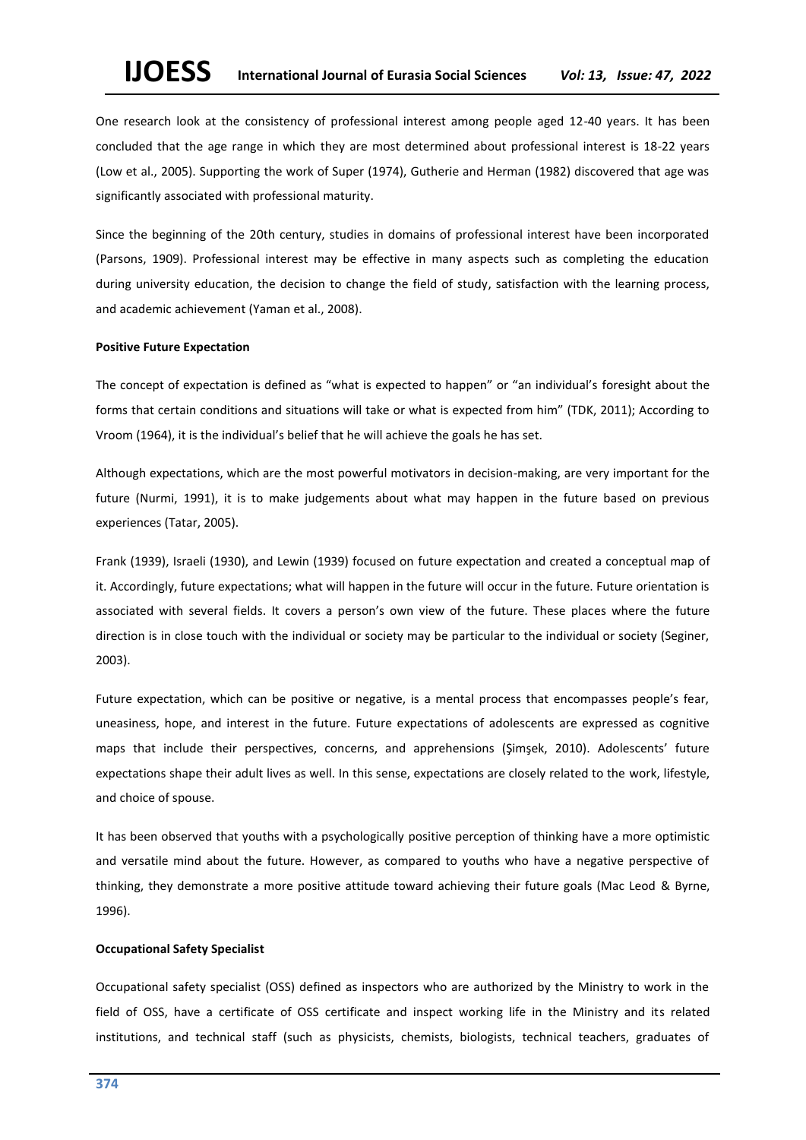# **IJOESS International Journal of Eurasia Social Sciences** *Vol: 13, Issue: 47, 2022*

One research look at the consistency of professional interest among people aged 12-40 years. It has been concluded that the age range in which they are most determined about professional interest is 18-22 years (Low et al., 2005). Supporting the work of Super (1974), Gutherie and Herman (1982) discovered that age was significantly associated with professional maturity.

Since the beginning of the 20th century, studies in domains of professional interest have been incorporated (Parsons, 1909). Professional interest may be effective in many aspects such as completing the education during university education, the decision to change the field of study, satisfaction with the learning process, and academic achievement (Yaman et al., 2008).

#### **Positive Future Expectation**

The concept of expectation is defined as "what is expected to happen" or "an individual's foresight about the forms that certain conditions and situations will take or what is expected from him" (TDK, 2011); According to Vroom (1964), it is the individual's belief that he will achieve the goals he has set.

Although expectations, which are the most powerful motivators in decision-making, are very important for the future (Nurmi, 1991), it is to make judgements about what may happen in the future based on previous experiences (Tatar, 2005).

Frank (1939), Israeli (1930), and Lewin (1939) focused on future expectation and created a conceptual map of it. Accordingly, future expectations; what will happen in the future will occur in the future. Future orientation is associated with several fields. It covers a person's own view of the future. These places where the future direction is in close touch with the individual or society may be particular to the individual or society (Seginer, 2003).

Future expectation, which can be positive or negative, is a mental process that encompasses people's fear, uneasiness, hope, and interest in the future. Future expectations of adolescents are expressed as cognitive maps that include their perspectives, concerns, and apprehensions (Şimşek, 2010). Adolescents' future expectations shape their adult lives as well. In this sense, expectations are closely related to the work, lifestyle, and choice of spouse.

It has been observed that youths with a psychologically positive perception of thinking have a more optimistic and versatile mind about the future. However, as compared to youths who have a negative perspective of thinking, they demonstrate a more positive attitude toward achieving their future goals (Mac Leod & Byrne, 1996).

#### **Occupational Safety Specialist**

Occupational safety specialist (OSS) defined as inspectors who are authorized by the Ministry to work in the field of OSS, have a certificate of OSS certificate and inspect working life in the Ministry and its related institutions, and technical staff (such as physicists, chemists, biologists, technical teachers, graduates of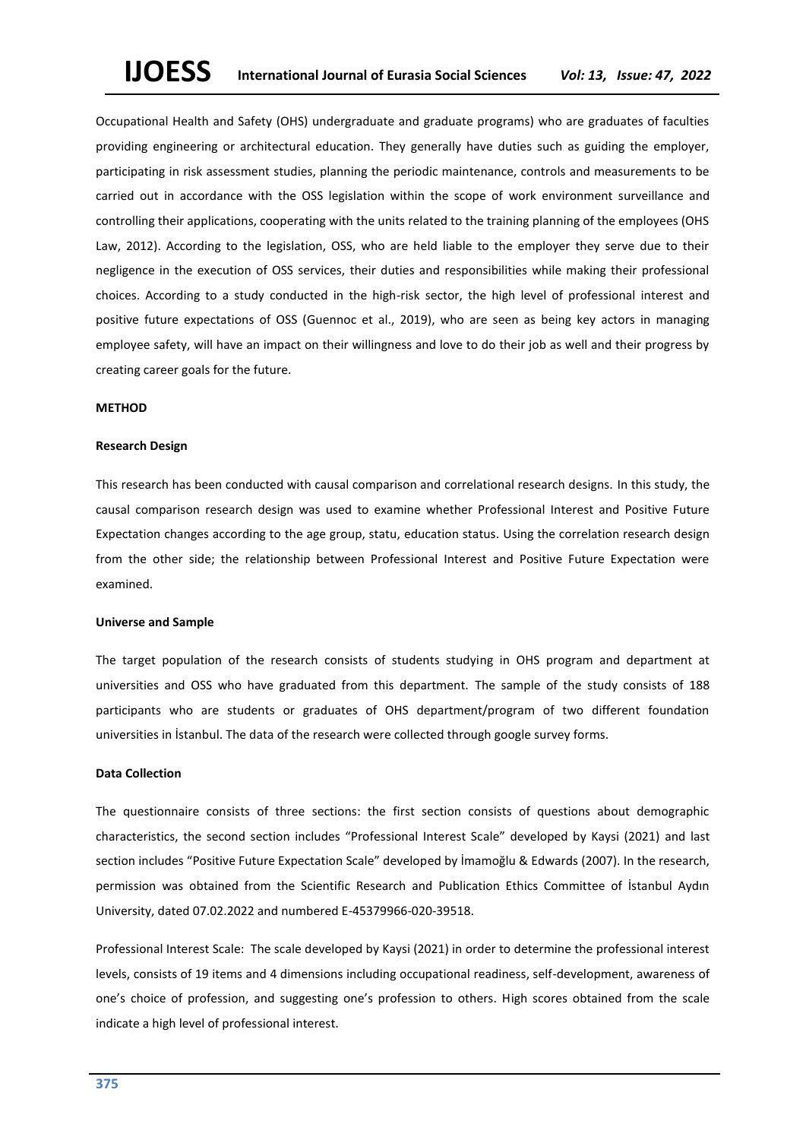Occupational Health and Safety (OHS) undergraduate and graduate programs) who are graduates of faculties providing engineering or architectural education. They generally have duties such as guiding the employer, participating in risk assessment studies, planning the periodic maintenance, controls and measurements to be carried out in accordance with the OSS legislation within the scope of work environment surveillance and controlling their applications, cooperating with the units related to the training planning of the employees (OHS Law, 2012). According to the legislation, OSS, who are held liable to the employer they serve due to their negligence in the execution of OSS services, their duties and responsibilities while making their professional choices. According to a study conducted in the high-risk sector, the high level of professional interest and positive future expectations of OSS (Guennoc et al., 2019), who are seen as being key actors in managing employee safety, will have an impact on their willingness and love to do their job as well and their progress by creating career goals for the future.

## **METHOD**

#### **Research Design**

This research has been conducted with causal comparison and correlational research designs. In this study, the causal comparison research design was used to examine whether Professional Interest and Positive Future Expectation changes according to the age group, statu, education status. Using the correlation research design from the other side; the relationship between Professional Interest and Positive Future Expectation were examined.

#### **Universe and Sample**

The target population of the research consists of students studying in OHS program and department at universities and OSS who have graduated from this department. The sample of the study consists of 188 participants who are students or graduates of OHS department/program of two different foundation universities in İstanbul. The data of the research were collected through google survey forms.

#### **Data Collection**

The questionnaire consists of three sections: the first section consists of questions about demographic characteristics, the second section includes "Professional Interest Scale" developed by Kaysi (2021) and last section includes "Positive Future Expectation Scale" developed by İmamoğlu & Edwards (2007). In the research, permission was obtained from the Scientific Research and Publication Ethics Committee of İstanbul Aydın University, dated 07.02.2022 and numbered E-45379966-020-39518.

Professional Interest Scale: The scale developed by Kaysi (2021) in order to determine the professional interest levels, consists of 19 items and 4 dimensions including occupational readiness, self-development, awareness of one's choice of profession, and suggesting one's profession to others. High scores obtained from the scale indicate a high level of professional interest.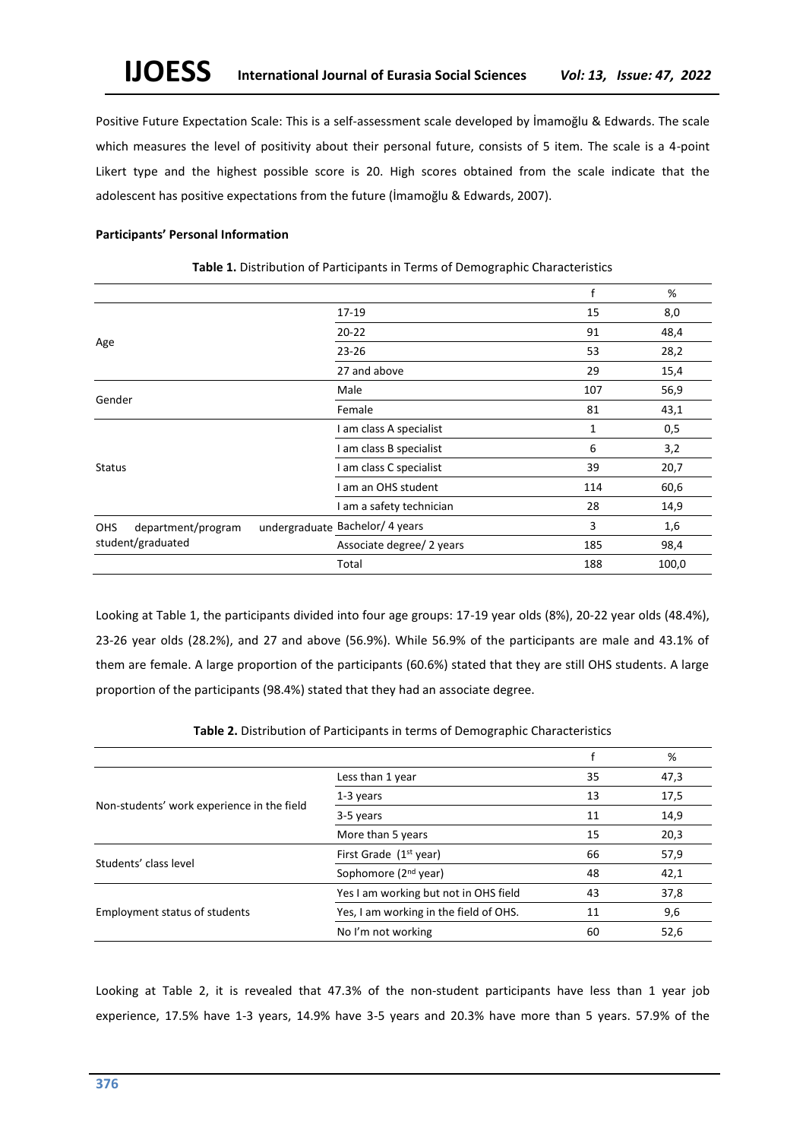Positive Future Expectation Scale: This is a self-assessment scale developed by İmamoğlu & Edwards. The scale which measures the level of positivity about their personal future, consists of 5 item. The scale is a 4-point Likert type and the highest possible score is 20. High scores obtained from the scale indicate that the adolescent has positive expectations from the future (İmamoğlu & Edwards, 2007).

# **Participants' Personal Information**

|                           |  |                                 | f   | %     |
|---------------------------|--|---------------------------------|-----|-------|
|                           |  | 17-19                           | 15  | 8,0   |
| Age                       |  | $20 - 22$                       | 91  | 48,4  |
|                           |  | $23 - 26$                       | 53  | 28,2  |
|                           |  | 27 and above                    | 29  | 15,4  |
| Gender                    |  | Male                            | 107 | 56,9  |
|                           |  | Female                          | 81  | 43,1  |
|                           |  | I am class A specialist         | 1   | 0,5   |
|                           |  | I am class B specialist         | 6   | 3,2   |
| <b>Status</b>             |  | I am class C specialist         | 39  | 20,7  |
|                           |  | I am an OHS student             | 114 | 60,6  |
|                           |  | I am a safety technician        | 28  | 14,9  |
| department/program<br>OHS |  | undergraduate Bachelor/ 4 years | 3   | 1,6   |
| student/graduated         |  | Associate degree/ 2 years       | 185 | 98,4  |
|                           |  | Total                           | 188 | 100,0 |

**Table 1.** Distribution of Participants in Terms of Demographic Characteristics

Looking at Table 1, the participants divided into four age groups: 17-19 year olds (8%), 20-22 year olds (48.4%), 23-26 year olds (28.2%), and 27 and above (56.9%). While 56.9% of the participants are male and 43.1% of them are female. A large proportion of the participants (60.6%) stated that they are still OHS students. A large proportion of the participants (98.4%) stated that they had an associate degree.

|  |  | Table 2. Distribution of Participants in terms of Demographic Characteristics |  |
|--|--|-------------------------------------------------------------------------------|--|
|--|--|-------------------------------------------------------------------------------|--|

|                                            |                                        |    | %    |
|--------------------------------------------|----------------------------------------|----|------|
|                                            | Less than 1 year                       | 35 | 47,3 |
| Non-students' work experience in the field | 1-3 years                              | 13 | 17,5 |
|                                            | 3-5 years                              | 11 | 14,9 |
|                                            | More than 5 years                      | 15 | 20,3 |
| First Grade $(1st$ year)                   |                                        | 66 | 57,9 |
| Students' class level                      | Sophomore (2 <sup>nd</sup> year)       | 48 | 42,1 |
|                                            | Yes I am working but not in OHS field  | 43 | 37,8 |
| Employment status of students              | Yes, I am working in the field of OHS. | 11 | 9,6  |
|                                            | No I'm not working                     | 60 | 52,6 |

Looking at Table 2, it is revealed that 47.3% of the non-student participants have less than 1 year job experience, 17.5% have 1-3 years, 14.9% have 3-5 years and 20.3% have more than 5 years. 57.9% of the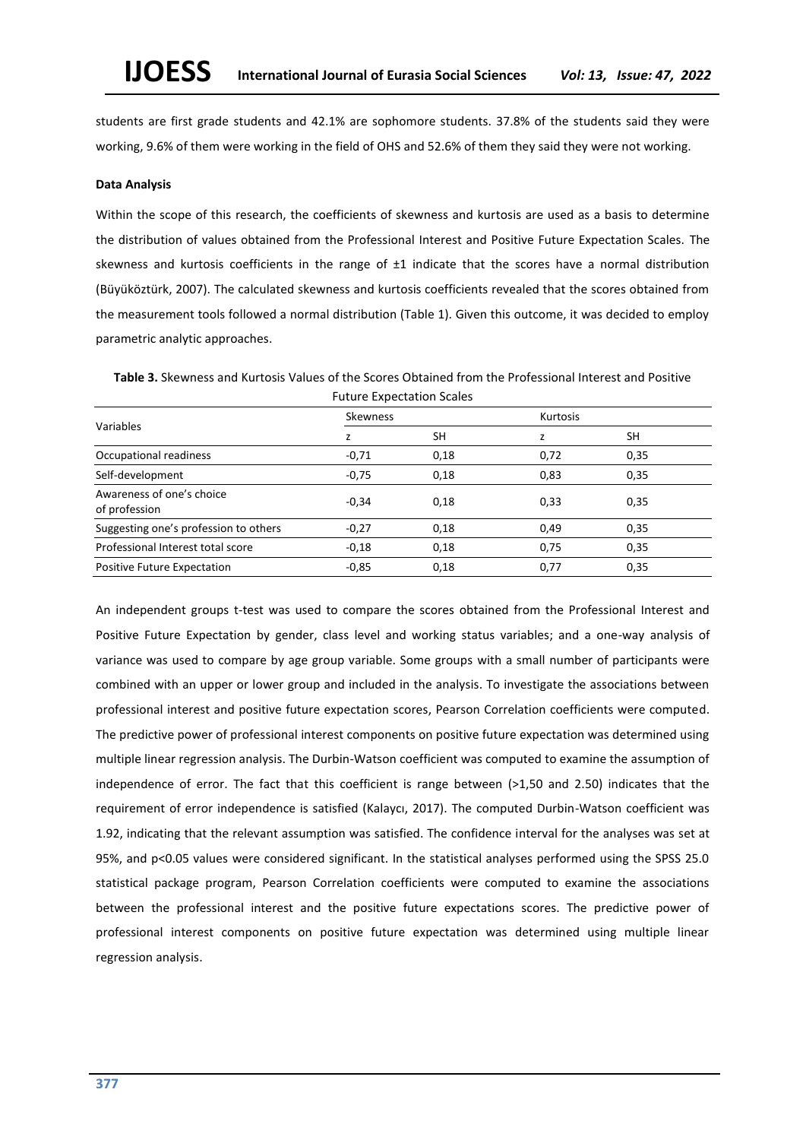students are first grade students and 42.1% are sophomore students. 37.8% of the students said they were working, 9.6% of them were working in the field of OHS and 52.6% of them they said they were not working.

#### **Data Analysis**

Within the scope of this research, the coefficients of skewness and kurtosis are used as a basis to determine the distribution of values obtained from the Professional Interest and Positive Future Expectation Scales. The skewness and kurtosis coefficients in the range of  $\pm 1$  indicate that the scores have a normal distribution (Büyüköztürk, 2007). The calculated skewness and kurtosis coefficients revealed that the scores obtained from the measurement tools followed a normal distribution (Table 1). Given this outcome, it was decided to employ parametric analytic approaches.

**Table 3.** Skewness and Kurtosis Values of the Scores Obtained from the Professional Interest and Positive Future Expectation Scales

|                                            | <b>Skewness</b> |      | <b>Kurtosis</b> |           |  |  |
|--------------------------------------------|-----------------|------|-----------------|-----------|--|--|
| Variables                                  |                 | SH   |                 | <b>SH</b> |  |  |
| Occupational readiness                     | $-0,71$         | 0,18 | 0,72            | 0,35      |  |  |
| Self-development                           | $-0,75$         | 0,18 | 0,83            | 0,35      |  |  |
| Awareness of one's choice<br>of profession | $-0,34$         | 0,18 | 0,33            | 0,35      |  |  |
| Suggesting one's profession to others      | $-0,27$         | 0,18 | 0,49            | 0,35      |  |  |
| Professional Interest total score          | $-0,18$         | 0,18 | 0,75            | 0,35      |  |  |
| <b>Positive Future Expectation</b>         | $-0.85$         | 0,18 | 0,77            | 0,35      |  |  |

An independent groups t-test was used to compare the scores obtained from the Professional Interest and Positive Future Expectation by gender, class level and working status variables; and a one-way analysis of variance was used to compare by age group variable. Some groups with a small number of participants were combined with an upper or lower group and included in the analysis. To investigate the associations between professional interest and positive future expectation scores, Pearson Correlation coefficients were computed. The predictive power of professional interest components on positive future expectation was determined using multiple linear regression analysis. The Durbin-Watson coefficient was computed to examine the assumption of independence of error. The fact that this coefficient is range between (>1,50 and 2.50) indicates that the requirement of error independence is satisfied (Kalaycı, 2017). The computed Durbin-Watson coefficient was 1.92, indicating that the relevant assumption was satisfied. The confidence interval for the analyses was set at 95%, and p<0.05 values were considered significant. In the statistical analyses performed using the SPSS 25.0 statistical package program, Pearson Correlation coefficients were computed to examine the associations between the professional interest and the positive future expectations scores. The predictive power of professional interest components on positive future expectation was determined using multiple linear regression analysis.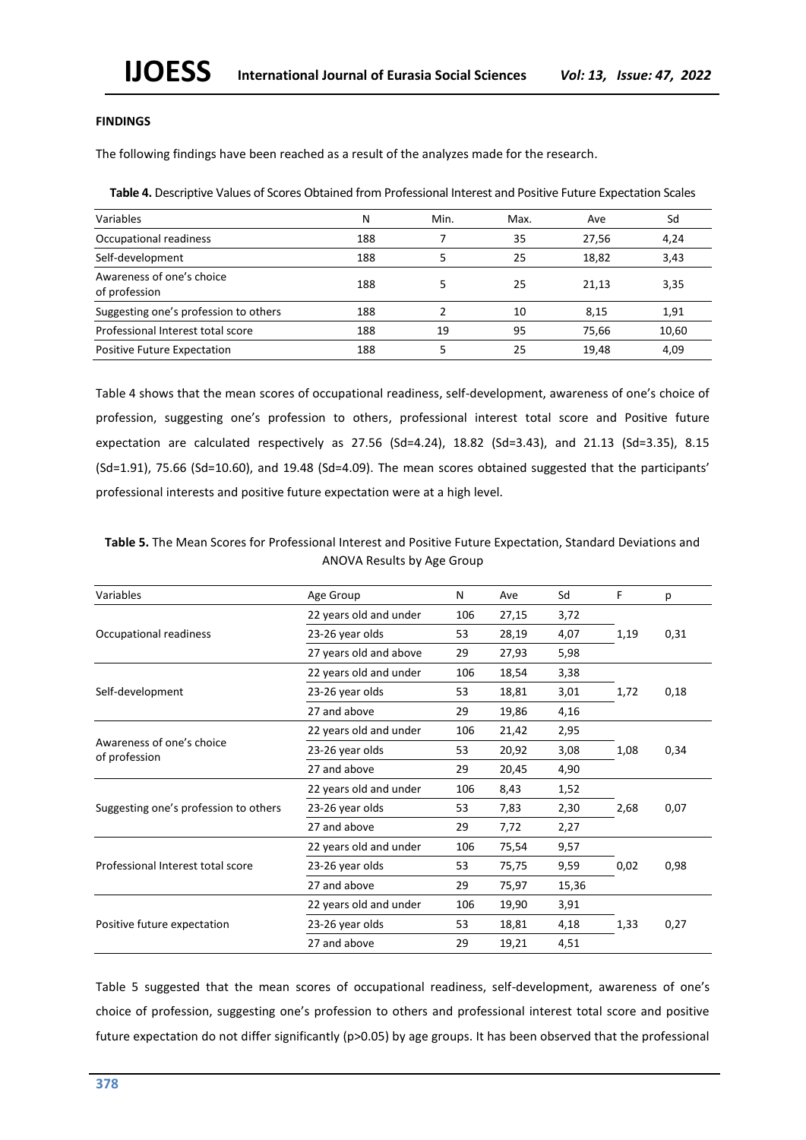## **FINDINGS**

The following findings have been reached as a result of the analyzes made for the research.

**Table 4.** Descriptive Values of Scores Obtained from Professional Interest and Positive Future Expectation Scales

| Variables                                  | N   | Min. | Max. | Ave   | Sd    |
|--------------------------------------------|-----|------|------|-------|-------|
| Occupational readiness                     | 188 |      | 35   | 27.56 | 4,24  |
| Self-development                           | 188 |      | 25   | 18.82 | 3,43  |
| Awareness of one's choice<br>of profession | 188 |      | 25   | 21,13 | 3,35  |
| Suggesting one's profession to others      | 188 | າ    | 10   | 8,15  | 1,91  |
| Professional Interest total score          | 188 | 19   | 95   | 75.66 | 10,60 |
| <b>Positive Future Expectation</b>         | 188 |      | 25   | 19.48 | 4,09  |

Table 4 shows that the mean scores of occupational readiness, self-development, awareness of one's choice of profession, suggesting one's profession to others, professional interest total score and Positive future expectation are calculated respectively as 27.56 (Sd=4.24), 18.82 (Sd=3.43), and 21.13 (Sd=3.35), 8.15 (Sd=1.91), 75.66 (Sd=10.60), and 19.48 (Sd=4.09). The mean scores obtained suggested that the participants' professional interests and positive future expectation were at a high level.

**Table 5.** The Mean Scores for Professional Interest and Positive Future Expectation, Standard Deviations and ANOVA Results by Age Group

| Variables                                  | Age Group              | N   | Ave   | Sd                                                                                                       | F    | р    |
|--------------------------------------------|------------------------|-----|-------|----------------------------------------------------------------------------------------------------------|------|------|
|                                            | 22 years old and under | 106 | 27,15 | 3,72                                                                                                     |      |      |
| Occupational readiness                     | 23-26 year olds        | 53  | 28,19 | 4,07                                                                                                     | 1,19 | 0,31 |
|                                            | 27 years old and above | 29  | 27,93 | 5,98                                                                                                     |      |      |
|                                            | 22 years old and under | 106 | 18,54 | 3,38                                                                                                     |      |      |
| Self-development                           | 23-26 year olds        | 53  | 18,81 | 3,01                                                                                                     | 1,72 | 0,18 |
|                                            | 27 and above           | 29  | 19,86 | 4,16                                                                                                     |      |      |
|                                            | 22 years old and under | 106 | 21,42 | 2,95                                                                                                     |      |      |
| Awareness of one's choice<br>of profession | 23-26 year olds        | 53  | 20,92 | 3,08                                                                                                     | 1,08 | 0,34 |
|                                            | 27 and above           | 29  | 20,45 | 4,90<br>8,43<br>1,52<br>2,30<br>7,83<br>2,27<br>7,72<br>75,54<br>9,57<br>9,59<br>75,75<br>15,36<br>75,97 |      |      |
|                                            | 22 years old and under | 106 |       |                                                                                                          |      |      |
| Suggesting one's profession to others      | 23-26 year olds        | 53  |       |                                                                                                          | 2,68 | 0,07 |
|                                            | 27 and above           | 29  |       |                                                                                                          |      |      |
|                                            | 22 years old and under | 106 |       |                                                                                                          |      |      |
| Professional Interest total score          | 23-26 year olds        | 53  |       |                                                                                                          | 0,02 | 0,98 |
|                                            | 27 and above           | 29  |       |                                                                                                          |      |      |
|                                            | 22 years old and under | 106 | 19,90 | 3,91                                                                                                     |      |      |
| Positive future expectation                | 23-26 year olds        | 53  | 18,81 | 4,18                                                                                                     | 1,33 | 0,27 |
|                                            | 27 and above           | 29  | 19,21 | 4,51                                                                                                     |      |      |

Table 5 suggested that the mean scores of occupational readiness, self-development, awareness of one's choice of profession, suggesting one's profession to others and professional interest total score and positive future expectation do not differ significantly (p>0.05) by age groups. It has been observed that the professional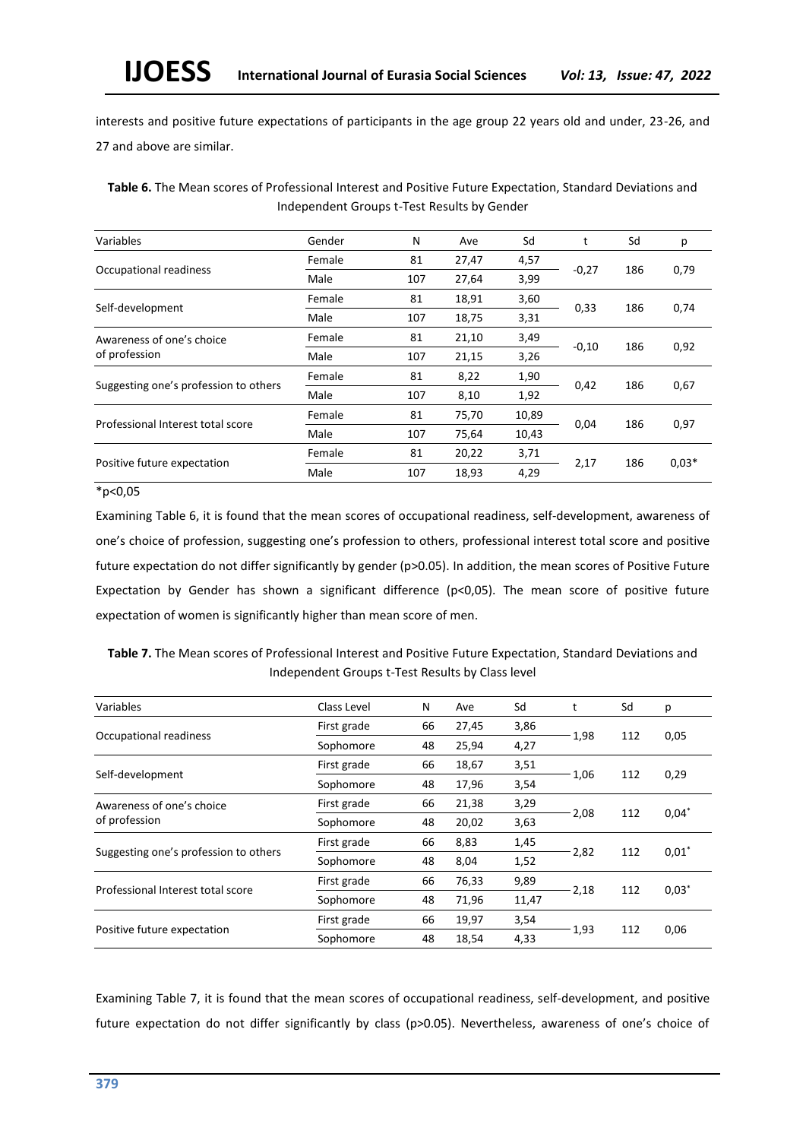interests and positive future expectations of participants in the age group 22 years old and under, 23-26, and 27 and above are similar.

**Table 6.** The Mean scores of Professional Interest and Positive Future Expectation, Standard Deviations and Independent Groups t-Test Results by Gender

| Variables                             | Gender | N                     | Ave   | Sd    | t       | Sd  | p       |
|---------------------------------------|--------|-----------------------|-------|-------|---------|-----|---------|
|                                       | Female | 81                    | 27,47 | 4,57  |         |     |         |
| Occupational readiness                | Male   | 107                   | 27,64 | 3,99  | $-0,27$ | 186 | 0,79    |
|                                       | Female | 81                    | 18,91 | 3,60  |         | 186 |         |
| Self-development                      | Male   | 107                   | 18,75 | 3,31  | 0,33    |     | 0,74    |
| Awareness of one's choice             | Female | 81                    | 21,10 | 3,49  |         |     |         |
| of profession                         | Male   | 107                   | 21,15 | 3,26  | $-0,10$ | 186 | 0,92    |
|                                       | Female | 81                    | 8,22  | 1,90  |         |     |         |
| Suggesting one's profession to others | Male   | 107                   | 8,10  | 1,92  | 0,42    | 186 | 0,67    |
|                                       | Female | 81                    | 75,70 | 10,89 |         |     |         |
| Professional Interest total score     | Male   | 107<br>75,64<br>10,43 | 0,04  | 186   | 0,97    |     |         |
|                                       | Female | 81                    | 20,22 | 3,71  |         |     |         |
| Positive future expectation           | Male   | 107                   | 18,93 | 4,29  | 2,17    | 186 | $0,03*$ |

 $*p<0,05$ 

Examining Table 6, it is found that the mean scores of occupational readiness, self-development, awareness of one's choice of profession, suggesting one's profession to others, professional interest total score and positive future expectation do not differ significantly by gender (p>0.05). In addition, the mean scores of Positive Future Expectation by Gender has shown a significant difference (p<0,05). The mean score of positive future expectation of women is significantly higher than mean score of men.

**Table 7.** The Mean scores of Professional Interest and Positive Future Expectation, Standard Deviations and Independent Groups t-Test Results by Class level

| Variables                             | Class Level | N  | Ave                                                                                                                                                                   | Sd   |         | Sd  | р       |
|---------------------------------------|-------------|----|-----------------------------------------------------------------------------------------------------------------------------------------------------------------------|------|---------|-----|---------|
|                                       | First grade | 66 | 27,45                                                                                                                                                                 | 3,86 |         |     |         |
| Occupational readiness                | Sophomore   | 48 | 25,94<br>4,27<br>18,67<br>3,51<br>3,54<br>17,96<br>3,29<br>21,38<br>3,63<br>20,02<br>8,83<br>1,45<br>1,52<br>8,04<br>9,89<br>76,33<br>11,47<br>71,96<br>3,54<br>19,97 |      | 1,98    | 112 | 0,05    |
|                                       | First grade | 66 |                                                                                                                                                                       |      |         |     |         |
| Self-development                      | Sophomore   | 48 |                                                                                                                                                                       |      | 1,06    | 112 | 0,29    |
| Awareness of one's choice             | First grade | 66 |                                                                                                                                                                       |      |         | 112 | $0.04*$ |
| of profession                         | Sophomore   | 48 |                                                                                                                                                                       |      | 2,08    |     |         |
|                                       | First grade | 66 |                                                                                                                                                                       |      |         |     |         |
| Suggesting one's profession to others | Sophomore   | 48 |                                                                                                                                                                       |      | $-2,82$ | 112 | $0,01*$ |
| Professional Interest total score     | First grade | 66 |                                                                                                                                                                       |      |         |     |         |
|                                       | Sophomore   | 48 |                                                                                                                                                                       |      | $-2,18$ | 112 | $0,03*$ |
|                                       | First grade | 66 |                                                                                                                                                                       |      |         |     |         |
| Positive future expectation           | Sophomore   | 48 | 18,54                                                                                                                                                                 | 4,33 | 1,93    | 112 | 0,06    |

Examining Table 7, it is found that the mean scores of occupational readiness, self-development, and positive future expectation do not differ significantly by class (p>0.05). Nevertheless, awareness of one's choice of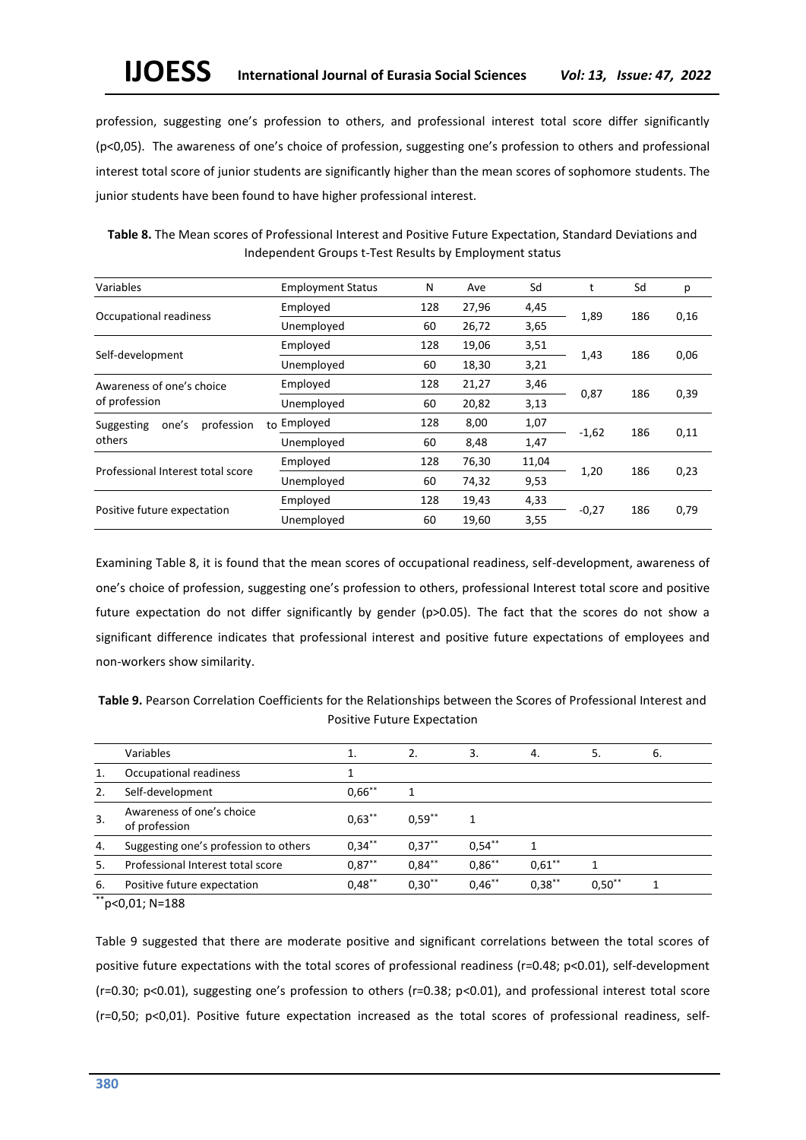profession, suggesting one's profession to others, and professional interest total score differ significantly (p<0,05). The awareness of one's choice of profession, suggesting one's profession to others and professional interest total score of junior students are significantly higher than the mean scores of sophomore students. The junior students have been found to have higher professional interest.

**Table 8.** The Mean scores of Professional Interest and Positive Future Expectation, Standard Deviations and Independent Groups t-Test Results by Employment status

| Variables                         | <b>Employment Status</b> | N                    | Ave   | Sd    | t       | Sd  | p    |
|-----------------------------------|--------------------------|----------------------|-------|-------|---------|-----|------|
|                                   | Employed                 | 128                  | 27,96 | 4,45  |         |     |      |
| Occupational readiness            | Unemployed               | 60                   | 26,72 | 3,65  | 1,89    | 186 | 0,16 |
|                                   | Employed                 | 128                  | 19,06 | 3,51  |         |     |      |
| Self-development                  | Unemployed               | 60                   | 18,30 | 3,21  | 1,43    | 186 | 0,06 |
| Awareness of one's choice         | Employed                 | 3,46<br>128<br>21,27 |       |       |         |     |      |
| of profession                     | Unemployed               | 60                   | 20,82 | 3,13  | 0,87    | 186 | 0,39 |
| one's<br>profession<br>Suggesting | Employed<br>to           | 128                  | 8,00  | 1,07  |         |     |      |
| others                            | Unemployed               | 60                   | 8,48  | 1,47  | $-1,62$ | 186 | 0,11 |
|                                   | Employed                 | 128                  | 76,30 | 11,04 |         |     |      |
| Professional Interest total score | Unemployed               | 60                   | 74,32 | 9,53  | 1,20    | 186 | 0,23 |
|                                   | Employed                 | 128                  | 19,43 | 4,33  |         |     |      |
| Positive future expectation       | Unemployed               | 60                   | 19,60 | 3,55  | $-0,27$ | 186 | 0,79 |

Examining Table 8, it is found that the mean scores of occupational readiness, self-development, awareness of one's choice of profession, suggesting one's profession to others, professional Interest total score and positive future expectation do not differ significantly by gender (p>0.05). The fact that the scores do not show a significant difference indicates that professional interest and positive future expectations of employees and non-workers show similarity.

**Table 9.** Pearson Correlation Coefficients for the Relationships between the Scores of Professional Interest and Positive Future Expectation

|    | Variables                                  |           | 2.        | 3.        | 4.        | 5.       | 6. |
|----|--------------------------------------------|-----------|-----------|-----------|-----------|----------|----|
|    | Occupational readiness                     |           |           |           |           |          |    |
| 2. | Self-development                           | $0.66***$ |           |           |           |          |    |
| 3. | Awareness of one's choice<br>of profession | $0.63***$ | $0.59***$ |           |           |          |    |
| 4. | Suggesting one's profession to others      | $0.34***$ | $0.37***$ | $0.54***$ |           |          |    |
| 5. | Professional Interest total score          | $0,87***$ | $0.84***$ | $0.86***$ | $0.61***$ |          |    |
| 6. | Positive future expectation                | $0.48***$ | $0.30**$  | $0.46***$ | $0.38***$ | $0.50**$ |    |
|    |                                            |           |           |           |           |          |    |

\*\*p<0,01; N=188

Table 9 suggested that there are moderate positive and significant correlations between the total scores of positive future expectations with the total scores of professional readiness (r=0.48; p<0.01), self-development (r=0.30; p<0.01), suggesting one's profession to others (r=0.38; p<0.01), and professional interest total score (r=0,50; p<0,01). Positive future expectation increased as the total scores of professional readiness, self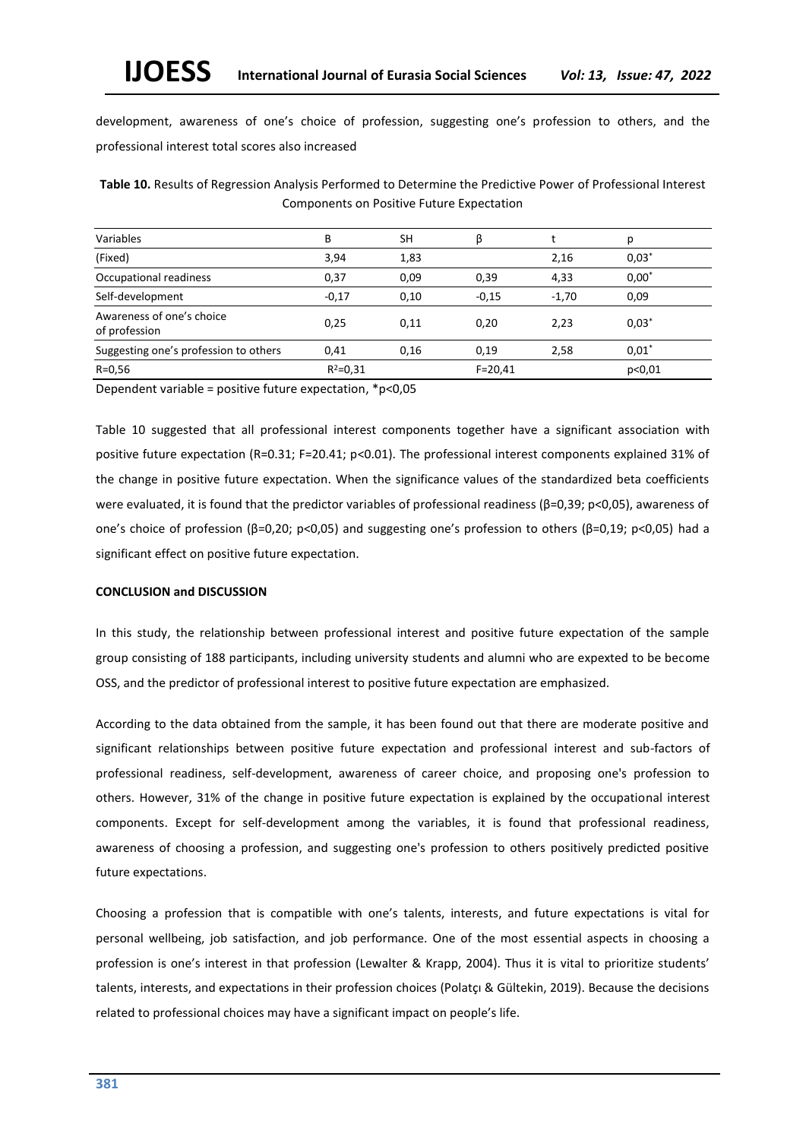development, awareness of one's choice of profession, suggesting one's profession to others, and the professional interest total scores also increased

**Table 10.** Results of Regression Analysis Performed to Determine the Predictive Power of Professional Interest Components on Positive Future Expectation

| Variables                                  | В            | <b>SH</b> | β           |         | D        |
|--------------------------------------------|--------------|-----------|-------------|---------|----------|
| (Fixed)                                    | 3,94         | 1,83      |             | 2,16    | $0,03*$  |
| Occupational readiness                     | 0,37         | 0,09      | 0,39        | 4,33    | $0,00^*$ |
| Self-development                           | $-0,17$      | 0,10      | $-0.15$     | $-1.70$ | 0,09     |
| Awareness of one's choice<br>of profession | 0,25         | 0,11      | 0.20        | 2,23    | $0.03*$  |
| Suggesting one's profession to others      | 0,41         | 0,16      | 0,19        | 2,58    | $0.01*$  |
| $R = 0.56$                                 | $R^2 = 0.31$ |           | $F = 20,41$ |         | p<0,01   |

Dependent variable = positive future expectation, \*p<0,05

Table 10 suggested that all professional interest components together have a significant association with positive future expectation (R=0.31; F=20.41; p<0.01). The professional interest components explained 31% of the change in positive future expectation. When the significance values of the standardized beta coefficients were evaluated, it is found that the predictor variables of professional readiness (β=0,39; p<0,05), awareness of one's choice of profession (β=0,20; p<0,05) and suggesting one's profession to others (β=0,19; p<0,05) had a significant effect on positive future expectation.

# **CONCLUSION and DISCUSSION**

In this study, the relationship between professional interest and positive future expectation of the sample group consisting of 188 participants, including university students and alumni who are expexted to be become OSS, and the predictor of professional interest to positive future expectation are emphasized.

According to the data obtained from the sample, it has been found out that there are moderate positive and significant relationships between positive future expectation and professional interest and sub-factors of professional readiness, self-development, awareness of career choice, and proposing one's profession to others. However, 31% of the change in positive future expectation is explained by the occupational interest components. Except for self-development among the variables, it is found that professional readiness, awareness of choosing a profession, and suggesting one's profession to others positively predicted positive future expectations.

Choosing a profession that is compatible with one's talents, interests, and future expectations is vital for personal wellbeing, job satisfaction, and job performance. One of the most essential aspects in choosing a profession is one's interest in that profession (Lewalter & Krapp, 2004). Thus it is vital to prioritize students' talents, interests, and expectations in their profession choices (Polatçı & Gültekin, 2019). Because the decisions related to professional choices may have a significant impact on people's life.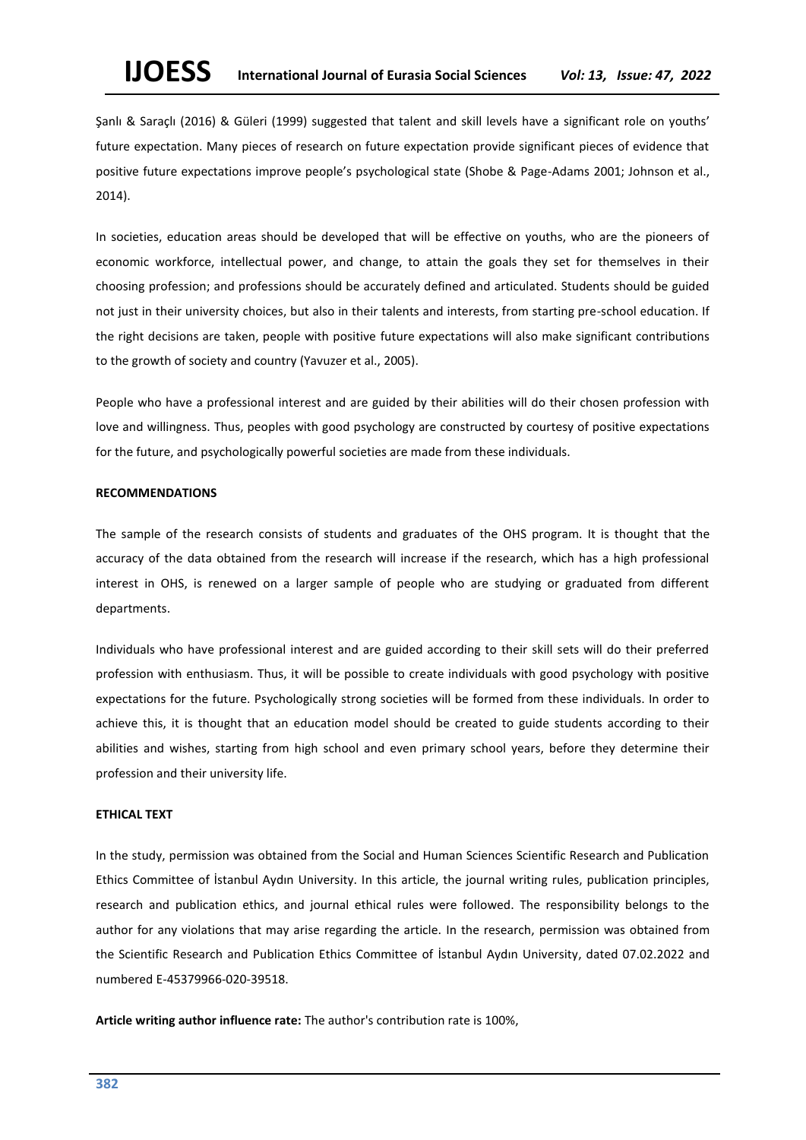Şanlı & Saraçlı (2016) & Güleri (1999) suggested that talent and skill levels have a significant role on youths' future expectation. Many pieces of research on future expectation provide significant pieces of evidence that positive future expectations improve people's psychological state (Shobe & Page-Adams 2001; Johnson et al., 2014).

In societies, education areas should be developed that will be effective on youths, who are the pioneers of economic workforce, intellectual power, and change, to attain the goals they set for themselves in their choosing profession; and professions should be accurately defined and articulated. Students should be guided not just in their university choices, but also in their talents and interests, from starting pre-school education. If the right decisions are taken, people with positive future expectations will also make significant contributions to the growth of society and country (Yavuzer et al., 2005).

People who have a professional interest and are guided by their abilities will do their chosen profession with love and willingness. Thus, peoples with good psychology are constructed by courtesy of positive expectations for the future, and psychologically powerful societies are made from these individuals.

#### **RECOMMENDATIONS**

The sample of the research consists of students and graduates of the OHS program. It is thought that the accuracy of the data obtained from the research will increase if the research, which has a high professional interest in OHS, is renewed on a larger sample of people who are studying or graduated from different departments.

Individuals who have professional interest and are guided according to their skill sets will do their preferred profession with enthusiasm. Thus, it will be possible to create individuals with good psychology with positive expectations for the future. Psychologically strong societies will be formed from these individuals. In order to achieve this, it is thought that an education model should be created to guide students according to their abilities and wishes, starting from high school and even primary school years, before they determine their profession and their university life.

#### **ETHICAL TEXT**

In the study, permission was obtained from the Social and Human Sciences Scientific Research and Publication Ethics Committee of İstanbul Aydın University. In this article, the journal writing rules, publication principles, research and publication ethics, and journal ethical rules were followed. The responsibility belongs to the author for any violations that may arise regarding the article. In the research, permission was obtained from the Scientific Research and Publication Ethics Committee of İstanbul Aydın University, dated 07.02.2022 and numbered E-45379966-020-39518.

**Article writing author influence rate:** The author's contribution rate is 100%,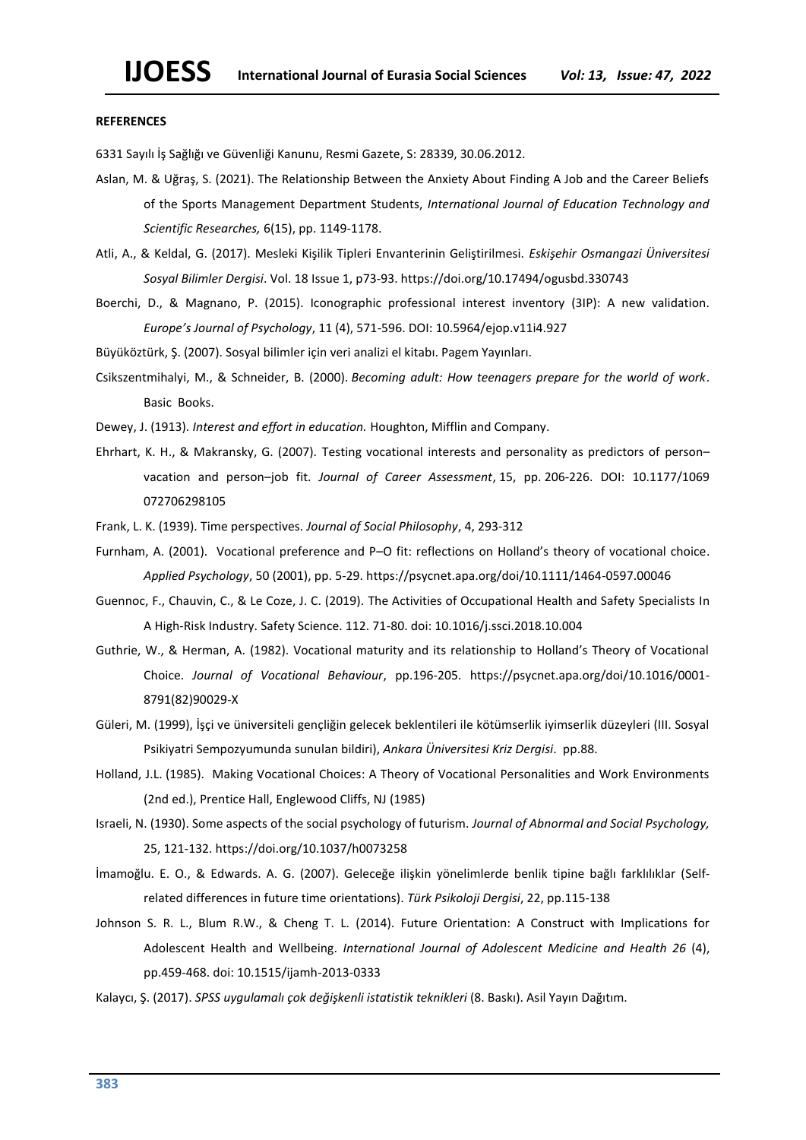#### **REFERENCES**

6331 Sayılı İş Sağlığı ve Güvenliği Kanunu, Resmi Gazete, S: 28339, 30.06.2012.

- Aslan, M. & Uğraş, S. (2021). The Relationship Between the Anxiety About Finding A Job and the Career Beliefs of the Sports Management Department Students, *International Journal of Education Technology and Scientific Researches,* 6(15), pp. 1149-1178.
- Atli, A., & Keldal, G. (2017). Mesleki Kişilik Tipleri Envanterinin Geliştirilmesi. *Eskişehir Osmangazi Üniversitesi Sosyal Bilimler Dergisi*. Vol. 18 Issue 1, p73-93. https://doi.org/10.17494/ogusbd.330743
- Boerchi, D., & Magnano, P. (2015). Iconographic professional interest inventory (3IP): A new validation. *Europe's Journal of Psychology*, 11 (4), 571-596. DOI: 10.5964/ejop.v11i4.927

Büyüköztürk, Ş. (2007). Sosyal bilimler için veri analizi el kitabı. Pagem Yayınları.

Csikszentmihalyi, M., & Schneider, B. (2000). *Becoming adult: How teenagers prepare for the world of work*. Basic Books.

Dewey, J. (1913). *Interest and effort in education.* Houghton, Mifflin and Company.

- Ehrhart, K. H., & Makransky, G. (2007). Testing vocational interests and personality as predictors of person– vacation and person–job fit. *Journal of Career Assessment*, 15, pp. 206-226. DOI: 10.1177/1069 072706298105
- Frank, L. K. (1939). Time perspectives. *Journal of Social Philosophy*, 4, 293-312
- Furnham, A. (2001). Vocational preference and P–O fit: reflections on Holland's theory of vocational choice. *Applied Psychology*, 50 (2001), pp. 5-29. https://psycnet.apa.org/doi/10.1111/1464-0597.00046
- Guennoc, F., Chauvin, C., & Le Coze, J. C. (2019). The Activities of Occupational Health and Safety Specialists In A High-Risk Industry. Safety Science. 112. 71-80. doi: 10.1016/j.ssci.2018.10.004
- Guthrie, W., & Herman, A. (1982). Vocational maturity and its relationship to Holland's Theory of Vocational Choice. *Journal of Vocational Behaviour*, pp.196-205. <https://psycnet.apa.org/doi/10.1016/0001-> 8791(82)90029-X
- Güleri, M. (1999), İşçi ve üniversiteli gençliğin gelecek beklentileri ile kötümserlik iyimserlik düzeyleri (III. Sosyal Psikiyatri Sempozyumunda sunulan bildiri), *Ankara Üniversitesi Kriz Dergisi*. pp.88.
- Holland, J.L. (1985). Making Vocational Choices: A Theory of Vocational Personalities and Work Environments (2nd ed.), Prentice Hall, Englewood Cliffs, NJ (1985)
- Israeli, N. (1930). Some aspects of the social psychology of futurism. *Journal of Abnormal and Social Psychology,* 25, 121-132. https://doi.org/10.1037/h0073258
- İmamoğlu. E. O., & Edwards. A. G. (2007). Geleceğe ilişkin yönelimlerde benlik tipine bağlı farklılıklar (Selfrelated differences in future time orientations). *Türk Psikoloji Dergisi*, 22, pp.115-138
- Johnson S. R. L., Blum R.W., & Cheng T. L. (2014). Future Orientation: A Construct with Implications for Adolescent Health and Wellbeing. *International Journal of Adolescent Medicine and Health 26* (4), pp.459-468. doi: 10.1515/ijamh-2013-0333
- Kalaycı, Ş. (2017). *SPSS uygulamalı çok değişkenli istatistik teknikleri* (8. Baskı). Asil Yayın Dağıtım.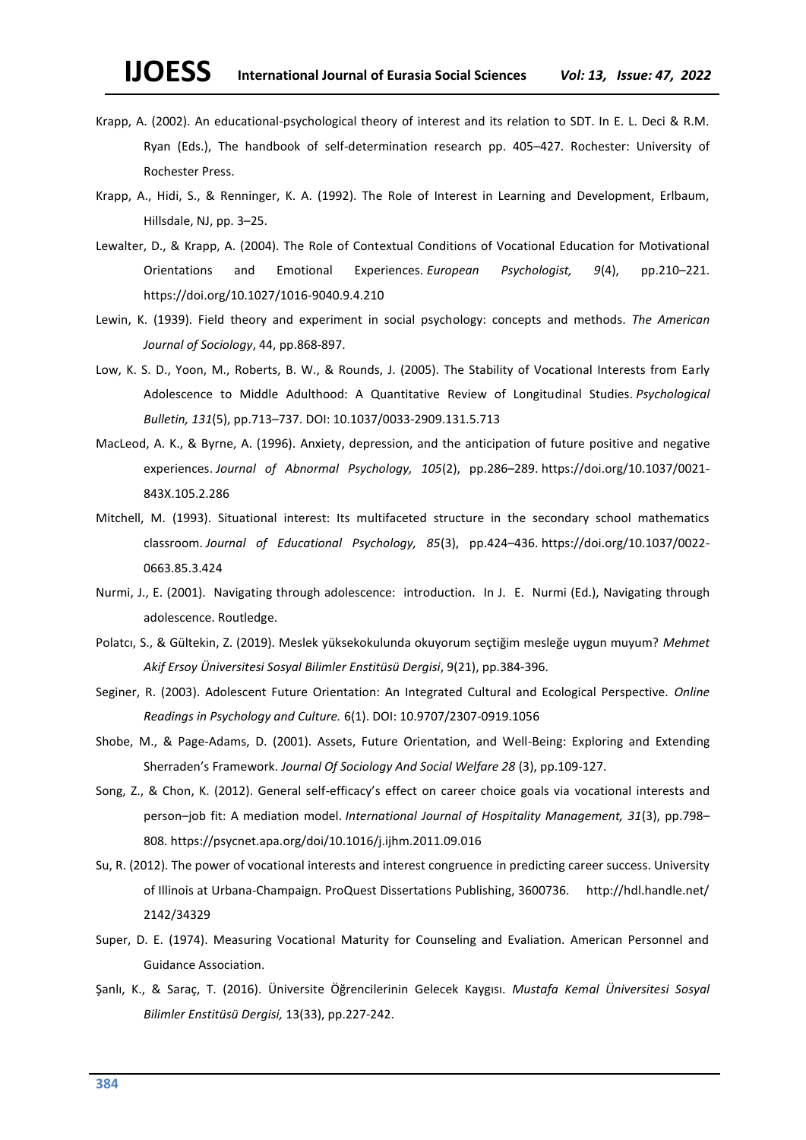- Krapp, A. (2002). An educational-psychological theory of interest and its relation to SDT. In E. L. Deci & R.M. Ryan (Eds.), The handbook of self-determination research pp. 405–427. Rochester: University of Rochester Press.
- Krapp, A., Hidi, S., & Renninger, K. A. (1992). The Role of Interest in Learning and Development, Erlbaum, Hillsdale, NJ, pp. 3–25.
- Lewalter, D., & Krapp, A. (2004). The Role of Contextual Conditions of Vocational Education for Motivational Orientations and Emotional Experiences. *European Psychologist, 9*(4), pp.210–221. [https://doi.org/10.1027/1016-9040.9.4.210](https://psycnet.apa.org/doi/10.1027/1016-9040.9.4.210)
- Lewin, K. (1939). Field theory and experiment in social psychology: concepts and methods. *The American Journal of Sociology*, 44, pp.868-897.
- Low, K. S. D., Yoon, M., Roberts, B. W., & Rounds, J. (2005). The Stability of Vocational Interests from Early Adolescence to Middle Adulthood: A Quantitative Review of Longitudinal Studies. *Psychological Bulletin, 131*(5), pp.713–737. DOI: 10.1037/0033-2909.131.5.713
- MacLeod, A. K., & Byrne, A. (1996). Anxiety, depression, and the anticipation of future positive and negative experiences. *Journal of Abnormal Psychology, 105*(2), pp.286–289. [https://doi.org/10.1037/0021-](https://doi.org/10.1037/0021-%20%20%20%20%20%20843X.105.2.286)  [843X.105.2.286](https://doi.org/10.1037/0021-%20%20%20%20%20%20843X.105.2.286)
- Mitchell, M. (1993). Situational interest: Its multifaceted structure in the secondary school mathematics classroom. *Journal of Educational Psychology, 85*(3), pp.424–436. [https://doi.org/10.1037/0022-](https://doi.org/10.1037/0022-%20%20%20%20%20%20%20%20%20%20%20%20%20%20%20%20%20%20%200663.85.3.424)  [0663.85.3.424](https://doi.org/10.1037/0022-%20%20%20%20%20%20%20%20%20%20%20%20%20%20%20%20%20%20%200663.85.3.424)
- Nurmi, J., E. (2001). Navigating through adolescence: introduction. In J. E. Nurmi (Ed.), Navigating through adolescence. Routledge.
- Polatcı, S., & Gültekin, Z. (2019). Meslek yüksekokulunda okuyorum seçtiğim mesleğe uygun muyum? *Mehmet Akif Ersoy Üniversitesi Sosyal Bilimler Enstitüsü Dergisi*, 9(21), pp.384-396.
- Seginer, R. (2003). Adolescent Future Orientation: An Integrated Cultural and Ecological Perspective. *Online Readings in Psychology and Culture.* 6(1). DOI: 10.9707/2307-0919.1056
- Shobe, M., & Page-Adams, D. (2001). Assets, Future Orientation, and Well-Being: Exploring and Extending Sherraden's Framework. *Journal Of Sociology And Social Welfare 28* (3), pp.109-127.
- Song, Z., & Chon, K. (2012). General self-efficacy's effect on career choice goals via vocational interests and person–job fit: A mediation model. *International Journal of Hospitality Management, 31*(3), pp.798– 808. https://psycnet.apa.org/doi/10.1016/j.ijhm.2011.09.016
- Su, R. (2012). The power of vocational interests and interest congruence in predicting career success. University of Illinois at Urbana-Champaign. ProQuest Dissertations Publishing, 3600736. http://hdl.handle.net/ 2142/34329
- Super, D. E. (1974). Measuring Vocational Maturity for Counseling and Evaliation. American Personnel and Guidance Association.
- Şanlı, K., & Saraç, T. (2016). Üniversite Öğrencilerinin Gelecek Kaygısı. *Mustafa Kemal Üniversitesi Sosyal Bilimler Enstitüsü Dergisi,* 13(33), pp.227-242.